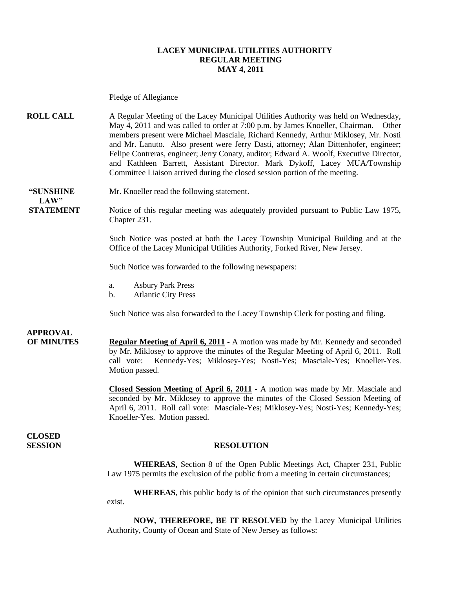#### **LACEY MUNICIPAL UTILITIES AUTHORITY REGULAR MEETING MAY 4, 2011**

Pledge of Allegiance

**ROLL CALL** A Regular Meeting of the Lacey Municipal Utilities Authority was held on Wednesday, May 4, 2011 and was called to order at 7:00 p.m. by James Knoeller, Chairman. Other members present were Michael Masciale, Richard Kennedy, Arthur Miklosey, Mr. Nosti and Mr. Lanuto. Also present were Jerry Dasti, attorney; Alan Dittenhofer, engineer; Felipe Contreras, engineer; Jerry Conaty, auditor; Edward A. Woolf, Executive Director, and Kathleen Barrett, Assistant Director. Mark Dykoff, Lacey MUA/Township Committee Liaison arrived during the closed session portion of the meeting.

**LAW"** 

**"SUNSHINE** Mr. Knoeller read the following statement.

**STATEMENT** Notice of this regular meeting was adequately provided pursuant to Public Law 1975, Chapter 231.

> Such Notice was posted at both the Lacey Township Municipal Building and at the Office of the Lacey Municipal Utilities Authority, Forked River, New Jersey.

Such Notice was forwarded to the following newspapers:

- a. Asbury Park Press
- b. Atlantic City Press

Such Notice was also forwarded to the Lacey Township Clerk for posting and filing.

## **APPROVAL**

**OF MINUTES Regular Meeting of April 6, 2011 -** A motion was made by Mr. Kennedy and seconded by Mr. Miklosey to approve the minutes of the Regular Meeting of April 6, 2011. Roll call vote: Kennedy-Yes; Miklosey-Yes; Nosti-Yes; Masciale-Yes; Knoeller-Yes. Motion passed.

> **Closed Session Meeting of April 6, 2011 -** A motion was made by Mr. Masciale and seconded by Mr. Miklosey to approve the minutes of the Closed Session Meeting of April 6, 2011. Roll call vote: Masciale-Yes; Miklosey-Yes; Nosti-Yes; Kennedy-Yes; Knoeller-Yes. Motion passed.

**CLOSED** 

#### **SESSION RESOLUTION**

**WHEREAS,** Section 8 of the Open Public Meetings Act, Chapter 231, Public Law 1975 permits the exclusion of the public from a meeting in certain circumstances;

**WHEREAS**, this public body is of the opinion that such circumstances presently exist.

**NOW, THEREFORE, BE IT RESOLVED** by the Lacey Municipal Utilities Authority, County of Ocean and State of New Jersey as follows: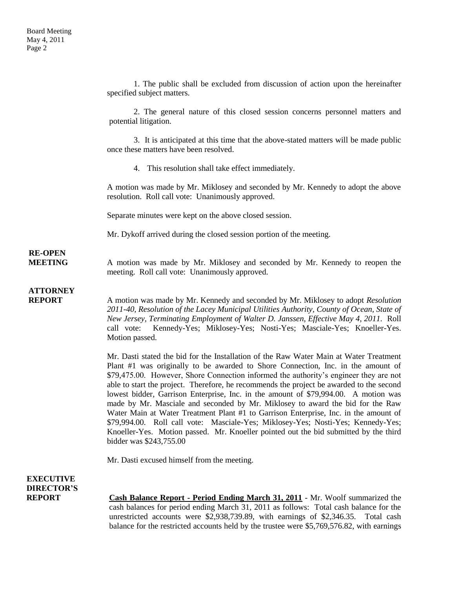1. The public shall be excluded from discussion of action upon the hereinafter specified subject matters. 2. The general nature of this closed session concerns personnel matters and potential litigation. 3. It is anticipated at this time that the above-stated matters will be made public once these matters have been resolved. 4. This resolution shall take effect immediately. A motion was made by Mr. Miklosey and seconded by Mr. Kennedy to adopt the above resolution. Roll call vote: Unanimously approved. Separate minutes were kept on the above closed session. Mr. Dykoff arrived during the closed session portion of the meeting. **RE-OPEN MEETING** A motion was made by Mr. Miklosey and seconded by Mr. Kennedy to reopen the meeting. Roll call vote: Unanimously approved. **ATTORNEY REPORT** A motion was made by Mr. Kennedy and seconded by Mr. Miklosey to adopt *Resolution 2011-40, Resolution of the Lacey Municipal Utilities Authority, County of Ocean, State of New Jersey, Terminating Employment of Walter D. Janssen, Effective May 4, 2011.* Roll call vote: Kennedy-Yes; Miklosey-Yes; Nosti-Yes; Masciale-Yes; Knoeller-Yes. Motion passed. Mr. Dasti stated the bid for the Installation of the Raw Water Main at Water Treatment Plant #1 was originally to be awarded to Shore Connection, Inc. in the amount of \$79,475.00. However, Shore Connection informed the authority's engineer they are not able to start the project. Therefore, he recommends the project be awarded to the second lowest bidder, Garrison Enterprise, Inc. in the amount of \$79,994.00. A motion was made by Mr. Masciale and seconded by Mr. Miklosey to award the bid for the Raw Water Main at Water Treatment Plant #1 to Garrison Enterprise, Inc. in the amount of \$79,994.00. Roll call vote: Masciale-Yes; Miklosey-Yes; Nosti-Yes; Kennedy-Yes; Knoeller-Yes. Motion passed. Mr. Knoeller pointed out the bid submitted by the third bidder was \$243,755.00 Mr. Dasti excused himself from the meeting. **EXECUTIVE DIRECTOR'S REPORT Cash Balance Report - Period Ending March 31, 2011** - Mr. Woolf summarized the cash balances for period ending March 31, 2011 as follows: Total cash balance for the unrestricted accounts were \$2,938,739.89, with earnings of \$2,346.35. Total cash

balance for the restricted accounts held by the trustee were \$5,769,576.82, with earnings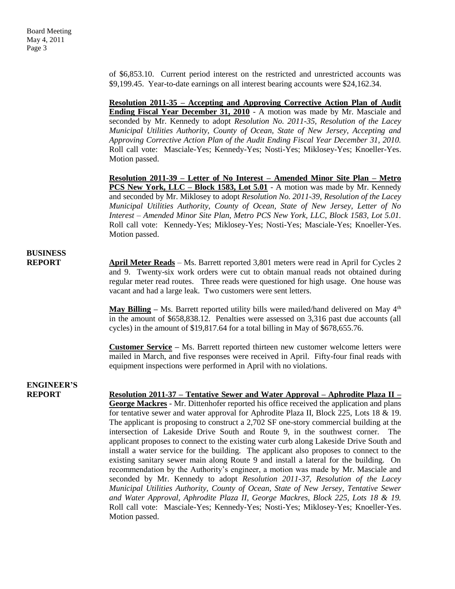of \$6,853.10. Current period interest on the restricted and unrestricted accounts was \$9,199.45. Year-to-date earnings on all interest bearing accounts were \$24,162.34.

**Resolution 2011-35 – Accepting and Approving Corrective Action Plan of Audit Ending Fiscal Year December 31, 2010** - A motion was made by Mr. Masciale and seconded by Mr. Kennedy to adopt *Resolution No. 2011-35, Resolution of the Lacey Municipal Utilities Authority, County of Ocean, State of New Jersey, Accepting and Approving Corrective Action Plan of the Audit Ending Fiscal Year December 31, 2010.*  Roll call vote: Masciale-Yes; Kennedy-Yes; Nosti-Yes; Miklosey-Yes; Knoeller-Yes. Motion passed.

**Resolution 2011-39 – Letter of No Interest – Amended Minor Site Plan – Metro PCS New York, LLC – Block 1583, Lot 5.01** - A motion was made by Mr. Kennedy and seconded by Mr. Miklosey to adopt *Resolution No. 2011-39, Resolution of the Lacey Municipal Utilities Authority, County of Ocean, State of New Jersey, Letter of No Interest – Amended Minor Site Plan, Metro PCS New York, LLC, Block 1583, Lot 5.01.*  Roll call vote: Kennedy-Yes; Miklosey-Yes; Nosti-Yes; Masciale-Yes; Knoeller-Yes. Motion passed.

### **BUSINESS**

**REPORT** April Meter Reads – Ms. Barrett reported 3,801 meters were read in April for Cycles 2 and 9. Twenty-six work orders were cut to obtain manual reads not obtained during regular meter read routes. Three reads were questioned for high usage. One house was vacant and had a large leak. Two customers were sent letters.

> **May Billing** – Ms. Barrett reported utility bills were mailed/hand delivered on May  $4<sup>th</sup>$ in the amount of \$658,838.12. Penalties were assessed on 3,316 past due accounts (all cycles) in the amount of \$19,817.64 for a total billing in May of \$678,655.76.

> **Customer Service –** Ms. Barrett reported thirteen new customer welcome letters were mailed in March, and five responses were received in April. Fifty-four final reads with equipment inspections were performed in April with no violations.

# **ENGINEER'S**

**REPORT Resolution 2011-37 – Tentative Sewer and Water Approval – Aphrodite Plaza II – George Mackres** - Mr. Dittenhofer reported his office received the application and plans for tentative sewer and water approval for Aphrodite Plaza II, Block 225, Lots 18 & 19. The applicant is proposing to construct a 2,702 SF one-story commercial building at the intersection of Lakeside Drive South and Route 9, in the southwest corner. The applicant proposes to connect to the existing water curb along Lakeside Drive South and install a water service for the building. The applicant also proposes to connect to the existing sanitary sewer main along Route 9 and install a lateral for the building. On recommendation by the Authority's engineer, a motion was made by Mr. Masciale and seconded by Mr. Kennedy to adopt *Resolution 2011-37, Resolution of the Lacey Municipal Utilities Authority, County of Ocean, State of New Jersey, Tentative Sewer and Water Approval, Aphrodite Plaza II, George Mackres, Block 225, Lots 18 & 19.*  Roll call vote: Masciale-Yes; Kennedy-Yes; Nosti-Yes; Miklosey-Yes; Knoeller-Yes. Motion passed.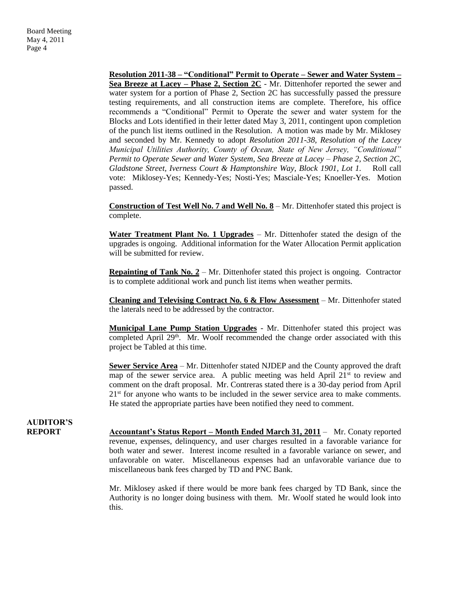**Resolution 2011-38 – "Conditional" Permit to Operate – Sewer and Water System – Sea Breeze at Lacey – Phase 2, Section 2C** - Mr. Dittenhofer reported the sewer and water system for a portion of Phase 2, Section 2C has successfully passed the pressure testing requirements, and all construction items are complete. Therefore, his office recommends a "Conditional" Permit to Operate the sewer and water system for the Blocks and Lots identified in their letter dated May 3, 2011, contingent upon completion of the punch list items outlined in the Resolution. A motion was made by Mr. Miklosey and seconded by Mr. Kennedy to adopt *Resolution 2011-38, Resolution of the Lacey Municipal Utilities Authority, County of Ocean, State of New Jersey, "Conditional" Permit to Operate Sewer and Water System, Sea Breeze at Lacey – Phase 2, Section 2C, Gladstone Street, Iverness Court & Hamptonshire Way, Block 1901, Lot 1.* Roll call vote: Miklosey-Yes; Kennedy-Yes; Nosti-Yes; Masciale-Yes; Knoeller-Yes. Motion passed.

**Construction of Test Well No. 7 and Well No. 8** – Mr. Dittenhofer stated this project is complete.

**Water Treatment Plant No. 1 Upgrades** – Mr. Dittenhofer stated the design of the upgrades is ongoing. Additional information for the Water Allocation Permit application will be submitted for review.

**Repainting of Tank No. 2** – Mr. Dittenhofer stated this project is ongoing. Contractor is to complete additional work and punch list items when weather permits.

**Cleaning and Televising Contract No. 6 & Flow Assessment** – Mr. Dittenhofer stated the laterals need to be addressed by the contractor.

**Municipal Lane Pump Station Upgrades** - Mr. Dittenhofer stated this project was completed April  $29<sup>th</sup>$ . Mr. Woolf recommended the change order associated with this project be Tabled at this time.

**Sewer Service Area** – Mr. Dittenhofer stated NJDEP and the County approved the draft map of the sewer service area. A public meeting was held April  $21<sup>st</sup>$  to review and comment on the draft proposal. Mr. Contreras stated there is a 30-day period from April  $21<sup>st</sup>$  for anyone who wants to be included in the sewer service area to make comments. He stated the appropriate parties have been notified they need to comment.

# **AUDITOR'S**

**REPORT Accountant's Status Report – Month Ended March 31, 2011** – Mr. Conaty reported revenue, expenses, delinquency, and user charges resulted in a favorable variance for both water and sewer. Interest income resulted in a favorable variance on sewer, and unfavorable on water. Miscellaneous expenses had an unfavorable variance due to miscellaneous bank fees charged by TD and PNC Bank.

> Mr. Miklosey asked if there would be more bank fees charged by TD Bank, since the Authority is no longer doing business with them. Mr. Woolf stated he would look into this.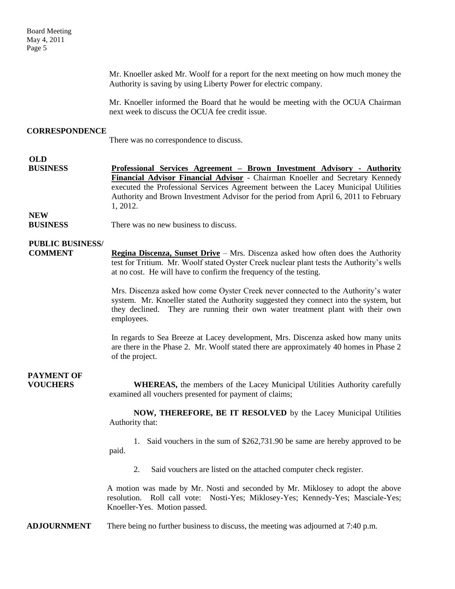Mr. Knoeller asked Mr. Woolf for a report for the next meeting on how much money the Authority is saving by using Liberty Power for electric company.

Mr. Knoeller informed the Board that he would be meeting with the OCUA Chairman next week to discuss the OCUA fee credit issue.

#### **CORRESPONDENCE**

There was no correspondence to discuss.

## **OLD**

**BUSINESS Professional Services Agreement – Brown Investment Advisory - Authority Financial Advisor Financial Advisor** - Chairman Knoeller and Secretary Kennedy executed the Professional Services Agreement between the Lacey Municipal Utilities Authority and Brown Investment Advisor for the period from April 6, 2011 to February 1, 2012.

**NEW**

**BUSINESS** There was no new business to discuss.

### **PUBLIC BUSINESS/**

**COMMENT Regina Discenza, Sunset Drive** – Mrs. Discenza asked how often does the Authority test for Tritium. Mr. Woolf stated Oyster Creek nuclear plant tests the Authority's wells at no cost. He will have to confirm the frequency of the testing.

> Mrs. Discenza asked how come Oyster Creek never connected to the Authority's water system. Mr. Knoeller stated the Authority suggested they connect into the system, but they declined. They are running their own water treatment plant with their own employees.

> In regards to Sea Breeze at Lacey development, Mrs. Discenza asked how many units are there in the Phase 2. Mr. Woolf stated there are approximately 40 homes in Phase 2 of the project.

## **PAYMENT OF**

**VOUCHERS** WHEREAS, the members of the Lacey Municipal Utilities Authority carefully examined all vouchers presented for payment of claims;

> **NOW, THEREFORE, BE IT RESOLVED** by the Lacey Municipal Utilities Authority that:

> 1. Said vouchers in the sum of \$262,731.90 be same are hereby approved to be paid.

2. Said vouchers are listed on the attached computer check register.

A motion was made by Mr. Nosti and seconded by Mr. Miklosey to adopt the above resolution. Roll call vote: Nosti-Yes; Miklosey-Yes; Kennedy-Yes; Masciale-Yes; Knoeller-Yes. Motion passed.

**ADJOURNMENT** There being no further business to discuss, the meeting was adjourned at 7:40 p.m.